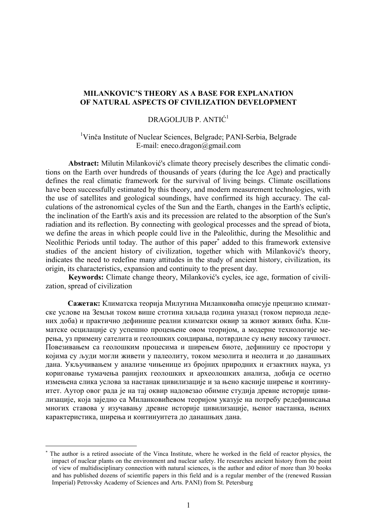## MILANKOVIC'S THEORY AS A BASE FOR EXPLANATION OF NATURAL ASPECTS OF CIVILIZATION DEVELOPMENT

# DRAGOLJUB P. ANTIĆ<sup>1</sup>

# <sup>1</sup>Vinča Institute of Nuclear Sciences, Belgrade; PANI-Serbia, Belgrade E-mail: eneco.dragon@gmail.com

Abstract: Milutin Milanković's climate theory precisely describes the climatic conditions on the Earth over hundreds of thousands of years (during the Ice Age) and practically defines the real climatic framework for the survival of living beings. Climate oscillations have been successfully estimated by this theory, and modern measurement technologies, with the use of satellites and geological soundings, have confirmed its high accuracy. The calculations of the astronomical cycles of the Sun and the Earth, changes in the Earth's ecliptic, the inclination of the Earth's axis and its precession are related to the absorption of the Sun's radiation and its reflection. By connecting with geological processes and the spread of biota, we define the areas in which people could live in the Paleolithic, during the Mesolithic and Neolithic Periods until today. The author of this paper<sup>\*</sup> added to this framework extensive studies of the ancient history of civilization, together which with Milanković's theory, indicates the need to redefine many attitudes in the study of ancient history, civilization, its origin, its characteristics, expansion and continuity to the present day.

Keywords: Climate change theory, Milanković's cycles, ice age, formation of civilization, spread of civilization

Сажетак: Климатска теорија Милутина Миланковића описује прецизно климатске услове на Земљи током више стотина хиљада година уназад (током периода ледених доба) и практично дефинише реални климатски оквир за живот живих бића. Климатске осцилације су успешно процењене овом теоријом, а модерне технологије мерења, уз примену сателита и геолошких сондирања, потврдиле су њену високу тачност. Повезивањем са геолошким процесима и ширењем биоте, дефинишу се простори у којима су људи могли живети у палеолиту, током мезолита и неолита и до данашњих дана. Укључивањем у анализе чињенице из бројних природних и егзактних наука, уз кориговање тумачења ранијих геолошких и археолошких анализа, добија се осетно измењена слика услова за настанак цивилизације и за њено касније ширење и континуитет. Аутор овог рада је на тај оквир надовезао обимне студија древне историје цивилизације, која заједно са Миланковићевом теоријом указује на потребу редефинисања многих ставова у изучавању древне историје цивилизације, њеног настанка, њених карактеристика, ширења и континуитета до данашњих дана.

-

<sup>\*</sup>  The author is a retired associate of the Vinca Institute, where he worked in the field of reactor physics, the impact of nuclear plants on the environment and nuclear safety. He researches ancient history from the point of view of multidisciplinary connection with natural sciences, is the author and editor of more than 30 books and has published dozens of scientific papers in this field and is a regular member of the (renewed Russian Imperial) Petrovsky Academy of Sciences and Arts. PANI) from St. Petersburg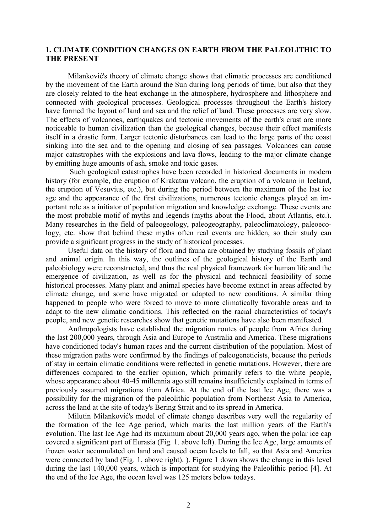### 1. CLIMATE CONDITION CHANGES ON EARTH FROM THE PALEOLITHIC TO THE PRESENT

Milanković's theory of climate change shows that climatic processes are conditioned by the movement of the Earth around the Sun during long periods of time, but also that they are closely related to the heat exchange in the atmosphere, hydrosphere and lithosphere and connected with geological processes. Geological processes throughout the Earth's history have formed the layout of land and sea and the relief of land. These processes are very slow. The effects of volcanoes, earthquakes and tectonic movements of the earth's crust are more noticeable to human civilization than the geological changes, because their effect manifests itself in a drastic form. Larger tectonic disturbances can lead to the large parts of the coast sinking into the sea and to the opening and closing of sea passages. Volcanoes can cause major catastrophes with the explosions and lava flows, leading to the major climate change by emitting huge amounts of ash, smoke and toxic gases.

 Such geological catastrophes have been recorded in historical documents in modern history (for example, the eruption of Krakatau volcano, the eruption of a volcano in Iceland, the eruption of Vesuvius, etc.), but during the period between the maximum of the last ice age and the appearance of the first civilizations, numerous tectonic changes played an important role as a initiator of population migration and knowledge exchange. These events are the most probable motif of myths and legends (myths about the Flood, about Atlantis, etc.). Many researches in the field of paleogeology, paleogeography, paleoclimatology, paleoecology, etc. show that behind these myths often real events are hidden, so their study can provide a significant progress in the study of historical processes.

Useful data on the history of flora and fauna are obtained by studying fossils of plant and animal origin. In this way, the outlines of the geological history of the Earth and paleobiology were reconstructed, and thus the real physical framework for human life and the emergence of civilization, as well as for the physical and technical feasibility of some historical processes. Many plant and animal species have become extinct in areas affected by climate change, and some have migrated or adapted to new conditions. A similar thing happened to people who were forced to move to more climatically favorable areas and to adapt to the new climatic conditions. This reflected on the racial characteristics of today's people, and new genetic researches show that genetic mutations have also been manifested.

Anthropologists have established the migration routes of people from Africa during the last 200,000 years, through Asia and Europe to Australia and America. These migrations have conditioned today's human races and the current distribution of the population. Most of these migration paths were confirmed by the findings of paleogeneticists, because the periods of stay in certain climatic conditions were reflected in genetic mutations. However, there are differences compared to the earlier opinion, which primarily refers to the white people, whose appearance about 40-45 millennia ago still remains insufficiently explained in terms of previously assumed migrations from Africa. At the end of the last Ice Age, there was a possibility for the migration of the paleolithic population from Northeast Asia to America, across the land at the site of today's Bering Strait and to its spread in America.

Milutin Milanković's model of climate change describes very well the regularity of the formation of the Ice Age period, which marks the last million years of the Earth's evolution. The last Ice Age had its maximum about 20,000 years ago, when the polar ice cap covered a significant part of Eurasia (Fig. 1. above left). During the Ice Age, large amounts of frozen water accumulated on land and caused ocean levels to fall, so that Asia and America were connected by land (Fig. 1, above right). ). Figure 1 down shows the change in this level during the last 140,000 years, which is important for studying the Paleolithic period [4]. At the end of the Ice Age, the ocean level was 125 meters below todays.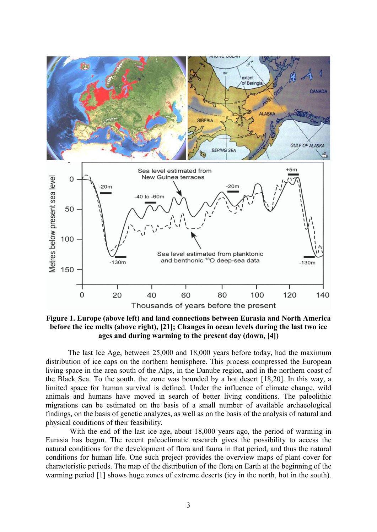

Figure 1. Europe (above left) and land connections between Eurasia and North America before the ice melts (above right), [21]; Changes in ocean levels during the last two ice ages and during warming to the present day (down, [4])

The last Ice Age, between 25,000 and 18,000 years before today, had the maximum distribution of ice caps on the northern hemisphere. This process compressed the European living space in the area south of the Alps, in the Danube region, and in the northern coast of the Black Sea. To the south, the zone was bounded by a hot desert [18,20]. In this way, a limited space for human survival is defined. Under the influence of climate change, wild animals and humans have moved in search of better living conditions. The paleolithic migrations can be estimated on the basis of a small number of available archaeological findings, on the basis of genetic analyzes, as well as on the basis of the analysis of natural and physical conditions of their feasibility.

 With the end of the last ice age, about 18,000 years ago, the period of warming in Eurasia has begun. The recent paleoclimatic research gives the possibility to access the natural conditions for the development of flora and fauna in that period, and thus the natural conditions for human life. One such project provides the overview maps of plant cover for characteristic periods. The map of the distribution of the flora on Earth at the beginning of the warming period [1] shows huge zones of extreme deserts (icy in the north, hot in the south).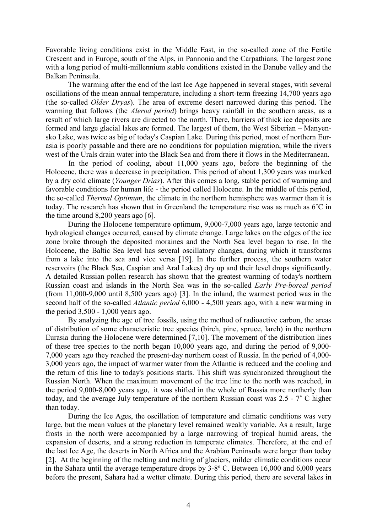Favorable living conditions exist in the Middle East, in the so-called zone of the Fertile Crescent and in Europe, south of the Alps, in Pannonia and the Carpathians. The largest zone with a long period of multi-millennium stable conditions existed in the Danube valley and the Balkan Peninsula.

The warming after the end of the last Ice Age happened in several stages, with several oscillations of the mean annual temperature, including a short-term freezing 14,700 years ago (the so-called Older Dryas). The area of extreme desert narrowed during this period. The warming that follows (the *Alerod period*) brings heavy rainfall in the southern areas, as a result of which large rivers are directed to the north. There, barriers of thick ice deposits are formed and large glacial lakes are formed. The largest of them, the West Siberian – Manyensko Lake, was twice as big of today's Caspian Lake. During this period, most of northern Eurasia is poorly passable and there are no conditions for population migration, while the rivers west of the Urals drain water into the Black Sea and from there it flows in the Mediterranean.

In the period of cooling, about 11,000 years ago, before the beginning of the Holocene, there was a decrease in precipitation. This period of about 1,300 years was marked by a dry cold climate (Younger Drias). After this comes a long, stable period of warming and favorable conditions for human life - the period called Holocene. In the middle of this period, the so-called *Thermal Optimum*, the climate in the northern hemisphere was warmer than it is today. The research has shown that in Greenland the temperature rise was as much as 6˚C in the time around 8,200 years ago [6].

During the Holocene temperature optimum, 9,000-7,000 years ago, large tectonic and hydrological changes occurred, caused by climate change. Large lakes on the edges of the ice zone broke through the deposited moraines and the North Sea level began to rise. In the Holocene, the Baltic Sea level has several oscillatory changes, during which it transforms from a lake into the sea and vice versa [19]. In the further process, the southern water reservoirs (the Black Sea, Caspian and Aral Lakes) dry up and their level drops significantly. A detailed Russian pollen research has shown that the greatest warming of today's northern Russian coast and islands in the North Sea was in the so-called Early Pre-boreal period (from 11,000-9,000 until 8,500 years ago) [3]. In the inland, the warmest period was in the second half of the so-called *Atlantic period* 6,000 - 4,500 years ago, with a new warming in the period 3,500 - 1,000 years ago.

By analyzing the age of tree fossils, using the method of radioactive carbon, the areas of distribution of some characteristic tree species (birch, pine, spruce, larch) in the northern Eurasia during the Holocene were determined [7,10]. The movement of the distribution lines of these tree species to the north began 10,000 years ago, and during the period of 9,000- 7,000 years ago they reached the present-day northern coast of Russia. In the period of 4,000- 3,000 years ago, the impact of warmer water from the Atlantic is reduced and the cooling and the return of this line to today's positions starts. This shift was synchronized throughout the Russian North. When the maximum movement of the tree line to the north was reached, in the period 9,000-8,000 years ago, it was shifted in the whole of Russia more northerly than today, and the average July temperature of the northern Russian coast was 2.5 - 7˚ C higher than today.

During the Ice Ages, the oscillation of temperature and climatic conditions was very large, but the mean values at the planetary level remained weakly variable. As a result, large frosts in the north were accompanied by a large narrowing of tropical humid areas, the expansion of deserts, and a strong reduction in temperate climates. Therefore, at the end of the last Ice Age, the deserts in North Africa and the Arabian Peninsula were larger than today [2]. At the beginning of the melting and melting of glaciers, milder climatic conditions occur in the Sahara until the average temperature drops by 3-8° C. Between 16,000 and 6,000 years before the present, Sahara had a wetter climate. During this period, there are several lakes in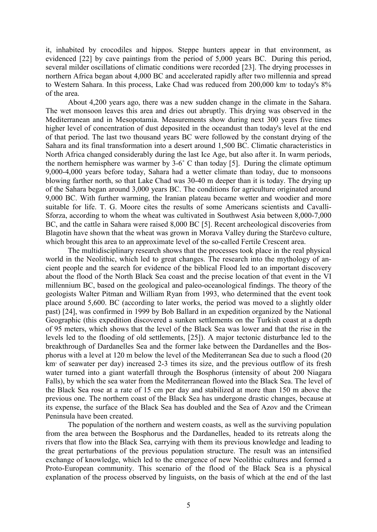it, inhabited by crocodiles and hippos. Steppe hunters appear in that environment, as evidenced [22] by cave paintings from the period of 5,000 years BC. During this period, several milder oscillations of climatic conditions were recorded [23]. The drying processes in northern Africa began about 4,000 BC and accelerated rapidly after two millennia and spread to Western Sahara. In this process, Lake Chad was reduced from 200,000 km<sup>2</sup> to today's 8% of the area.

About 4,200 years ago, there was a new sudden change in the climate in the Sahara. The wet monsoon leaves this area and dries out abruptly. This drying was observed in the Mediterranean and in Mesopotamia. Measurements show during next 300 years five times higher level of concentration of dust deposited in the oceandust than today's level at the end of that period. The last two thousand years BC were followed by the constant drying of the Sahara and its final transformation into a desert around 1,500 BC. Climatic characteristics in North Africa changed considerably during the last Ice Age, but also after it. In warm periods, the northern hemisphere was warmer by 3-6˚ C than today [5]. During the climate optimum 9,000-4,000 years before today, Sahara had a wetter climate than today, due to monsoons blowing farther north, so that Lake Chad was 30-40 m deeper than it is today. The drying up of the Sahara began around 3,000 years BC. The conditions for agriculture originated around 9,000 BC. With further warming, the Iranian plateau became wetter and woodier and more suitable for life. T. G. Moore cites the results of some Americans scientists and Cavalli-Sforza, according to whom the wheat was cultivated in Southwest Asia between 8,000-7,000 BC, and the cattle in Sahara were raised 8,000 BC [5]. Recent archeological discoveries from Blagotin have shown that the wheat was grown in Morava Valley during the Starčevo culture, which brought this area to an approximate level of the so-called Fertile Crescent area.

The multidisciplinary research shows that the processes took place in the real physical world in the Neolithic, which led to great changes. The research into the mythology of ancient people and the search for evidence of the biblical Flood led to an important discovery about the flood of the North Black Sea coast and the precise location of that event in the VI millennium BC, based on the geological and paleo-oceanological findings. The theory of the geologists Walter Pitman and William Ryan from 1993, who determined that the event took place around 5,600. BC (according to later works, the period was moved to a slightly older past) [24], was confirmed in 1999 by Bob Ballard in an expedition organized by the National Geographic (this expedition discovered a sunken settlements on the Turkish coast at a depth of 95 meters, which shows that the level of the Black Sea was lower and that the rise in the levels led to the flooding of old settlements, [25]). A major tectonic disturbance led to the breakthrough of Dardanelles Sea and the former lake between the Dardanelles and the Bosphorus with a level at 120 m below the level of the Mediterranean Sea due to such a flood (20 km<sup>3</sup> of seawater per day) increased 2-3 times its size, and the previous outflow of its fresh water turned into a giant waterfall through the Bosphorus (intensity of about 200 Niagara Falls), by which the sea water from the Mediterranean flowed into the Black Sea. The level of the Black Sea rose at a rate of 15 cm per day and stabilized at more than 150 m above the previous one. The northern coast of the Black Sea has undergone drastic changes, because at its expense, the surface of the Black Sea has doubled and the Sea of Azov and the Crimean Peninsula have been created.

The population of the northern and western coasts, as well as the surviving population from the area between the Bosphorus and the Dardanelles, headed to its retreats along the rivers that flow into the Black Sea, carrying with them its previous knowledge and leading to the great perturbations of the previous population structure. The result was an intensified exchange of knowledge, which led to the emergence of new Neolithic cultures and formed a Proto-European community. This scenario of the flood of the Black Sea is a physical explanation of the process observed by linguists, on the basis of which at the end of the last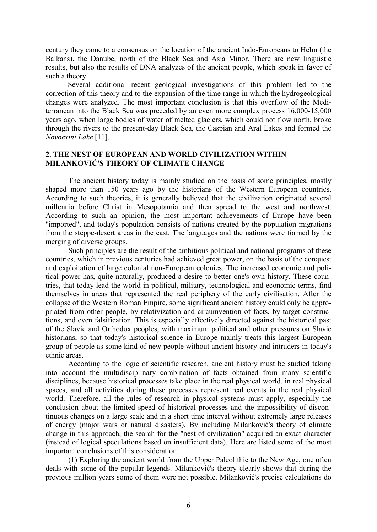century they came to a consensus on the location of the ancient Indo-Europeans to Helm (the Balkans), the Danube, north of the Black Sea and Asia Minor. There are new linguistic results, but also the results of DNA analyzes of the ancient people, which speak in favor of such a theory.

Several additional recent geological investigations of this problem led to the correction of this theory and to the expansion of the time range in which the hydrogeological changes were analyzed. The most important conclusion is that this overflow of the Mediterranean into the Black Sea was preceded by an even more complex process 16,000-15,000 years ago, when large bodies of water of melted glaciers, which could not flow north, broke through the rivers to the present-day Black Sea, the Caspian and Aral Lakes and formed the Novoexini Lake [11].

## 2. THE NEST OF EUROPEAN AND WORLD CIVILIZATION WITHIN MILANKOVIĆ'S THEORY OF CLIMATE CHANGE

The ancient history today is mainly studied on the basis of some principles, mostly shaped more than 150 years ago by the historians of the Western European countries. According to such theories, it is generally believed that the civilization originated several millennia before Christ in Mesopotamia and then spread to the west and northwest. According to such an opinion, the most important achievements of Europe have been "imported", and today's population consists of nations created by the population migrations from the steppe-desert areas in the east. The languages and the nations were formed by the merging of diverse groups.

Such principles are the result of the ambitious political and national programs of these countries, which in previous centuries had achieved great power, on the basis of the conquest and exploitation of large colonial non-European colonies. The increased economic and political power has, quite naturally, produced a desire to better one's own history. These countries, that today lead the world in political, military, technological and economic terms, find themselves in areas that represented the real periphery of the early civilisation. After the collapse of the Western Roman Empire, some significant ancient history could only be appropriated from other people, by relativization and circumvention of facts, by target constructions, and even falsification. This is especially effectively directed against the historical past of the Slavic and Orthodox peoples, with maximum political and other pressures on Slavic historians, so that today's historical science in Europe mainly treats this largest European group of people as some kind of new people without ancient history and intruders in today's ethnic areas.

According to the logic of scientific research, ancient history must be studied taking into account the multidisciplinary combination of facts obtained from many scientific disciplines, because historical processes take place in the real physical world, in real physical spaces, and all activities during these processes represent real events in the real physical world. Therefore, all the rules of research in physical systems must apply, especially the conclusion about the limited speed of historical processes and the impossibility of discontinuous changes on a large scale and in a short time interval without extremely large releases of energy (major wars or natural disasters). By including Milanković's theory of climate change in this approach, the search for the "nest of civilization" acquired an exact character (instead of logical speculations based on insufficient data). Here are listed some of the most important conclusions of this consideration:

(1) Exploring the ancient world from the Upper Paleolithic to the New Age, one often deals with some of the popular legends. Milanković's theory clearly shows that during the previous million years some of them were not possible. Milanković's precise calculations do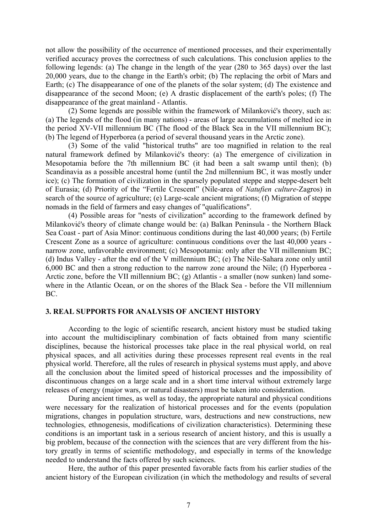not allow the possibility of the occurrence of mentioned processes, and their experimentally verified accuracy proves the correctness of such calculations. This conclusion applies to the following legends: (a) The change in the length of the year (280 to 365 days) over the last 20,000 years, due to the change in the Earth's orbit; (b) The replacing the orbit of Mars and Earth; (c) The disappearance of one of the planets of the solar system; (d) The existence and disappearance of the second Moon; (e) A drastic displacement of the earth's poles; (f) The disappearance of the great mainland - Atlantis.

(2) Some legends are possible within the framework of Milanković's theory, such as: (a) The legends of the flood (in many nations) - areas of large accumulations of melted ice in the period XV-VII millennium BC (The flood of the Black Sea in the VII millennium BC); (b) The legend of Hyperborea (a period of several thousand years in the Arctic zone).

(3) Some of the valid "historical truths" are too magnified in relation to the real natural framework defined by Milanković's theory: (a) The emergence of civilization in Mesopotamia before the 7th millennium BC (it had been a salt swamp until then); (b) Scandinavia as a possible ancestral home (until the 2nd millennium BC, it was mostly under ice); (c) The formation of civilization in the sparsely populated steppe and steppe-desert belt of Eurasia; (d) Priority of the "Fertile Crescent" (Nile-area of Natufiеn culture-Zagros) in search of the source of agriculture; (e) Large-scale ancient migrations; (f) Migration of steppe nomads in the field of farmers and easy changes of "qualifications".

(4) Possible areas for "nests of civilization" according to the framework defined by Milanković's theory of climate change would be: (a) Balkan Peninsula - the Northern Black Sea Coast - part of Asia Minor: continuous conditions during the last 40,000 years; (b) Fertile Crescent Zone as a source of agriculture: continuous conditions over the last 40,000 years narrow zone, unfavorable environment; (c) Mesopotamia: only after the VII millennium BC; (d) Indus Valley - after the end of the V millennium BC; (e) The Nile-Sahara zone only until 6,000 BC and then a strong reduction to the narrow zone around the Nile; (f) Hyperborea - Arctic zone, before the VII millennium BC; (g) Atlantis - a smaller (now sunken) land somewhere in the Atlantic Ocean, or on the shores of the Black Sea - before the VII millennium BC.

#### 3. REAL SUPPORTS FOR ANALYSIS OF ANCIENT HISTORY

According to the logic of scientific research, ancient history must be studied taking into account the multidisciplinary combination of facts obtained from many scientific disciplines, because the historical processes take place in the real physical world, on real physical spaces, and all activities during these processes represent real events in the real physical world. Therefore, all the rules of research in physical systems must apply, and above all the conclusion about the limited speed of historical processes and the impossibility of discontinuous changes on a large scale and in a short time interval without extremely large releases of energy (major wars, or natural disasters) must be taken into consideration.

During ancient times, as well as today, the appropriate natural and physical conditions were necessary for the realization of historical processes and for the events (population migrations, changes in population structure, wars, destructions and new constructions, new technologies, ethnogenesis, modifications of civilization characteristics). Determining these conditions is an important task in a serious research of ancient history, and this is usually a big problem, because of the connection with the sciences that are very different from the history greatly in terms of scientific methodology, and especially in terms of the knowledge needed to understand the facts offered by such sciences.

Here, the author of this paper presented favorable facts from his earlier studies of the ancient history of the European civilization (in which the methodology and results of several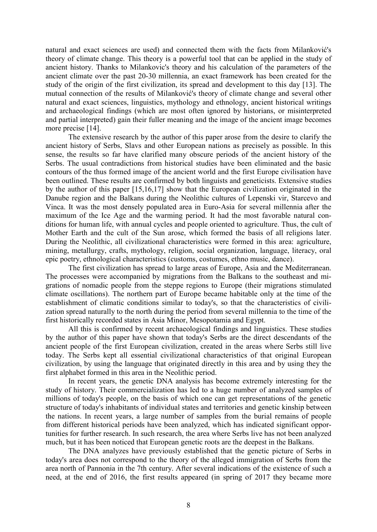natural and exact sciences are used) and connected them with the facts from Milanković's theory of climate change. This theory is a powerful tool that can be applied in the study of ancient history. Thanks to Milankovic's theory and his calculation of the parameters of the ancient climate over the past 20-30 millennia, an exact framework has been created for the study of the origin of the first civilization, its spread and development to this day [13]. The mutual connection of the results of Milanković's theory of climate change and several other natural and exact sciences, linguistics, mythology and ethnology, ancient historical writings and archaeological findings (which are most often ignored by historians, or misinterpreted and partial interpreted) gain their fuller meaning and the image of the ancient image becomes more precise [14].

The extensive research by the author of this paper arose from the desire to clarify the ancient history of Serbs, Slavs and other European nations as precisely as possible. In this sense, the results so far have clarified many obscure periods of the ancient history of the Serbs. The usual contradictions from historical studies have been eliminated and the basic contours of the thus formed image of the ancient world and the first Europe civilisation have been outlined. These results are confirmed by both linguists and geneticists. Extensive studies by the author of this paper [15,16,17] show that the European civilization originated in the Danube region and the Balkans during the Neolithic cultures of Lepenski vir, Starcevo and Vinca. It was the most densely populated area in Euro-Asia for several millennia after the maximum of the Ice Age and the warming period. It had the most favorable natural conditions for human life, with annual cycles and people oriented to agriculture. Thus, the cult of Mother Earth and the cult of the Sun arose, which formed the basis of all religions later. During the Neolithic, all civilizational characteristics were formed in this area: agriculture, mining, metallurgy, crafts, mythology, religion, social organization, language, literacy, oral epic poetry, ethnological characteristics (customs, costumes, ethno music, dance).

The first civilization has spread to large areas of Europe, Asia and the Mediterranean. The processes were accompanied by migrations from the Balkans to the southeast and migrations of nomadic people from the steppe regions to Europe (their migrations stimulated climate oscillations). The northern part of Europe became habitable only at the time of the establishment of climatic conditions similar to today's, so that the characteristics of civilization spread naturally to the north during the period from several millennia to the time of the first historically recorded states in Asia Minor, Mesopotamia and Egypt.

All this is confirmed by recent archaeological findings and linguistics. These studies by the author of this paper have shown that today's Serbs are the direct descendants of the ancient people of the first European civilization, created in the areas where Serbs still live today. The Serbs kept all essential civilizational characteristics of that original European civilization, by using the language that originated directly in this area and by using they the first alphabet formed in this area in the Neolithic period.

In recent years, the genetic DNA analysis has become extremely interesting for the study of history. Their commercialization has led to a huge number of analyzed samples of millions of today's people, on the basis of which one can get representations of the genetic structure of today's inhabitants of individual states and territories and genetic kinship between the nations. In recent years, a large number of samples from the burial remains of people from different historical periods have been analyzed, which has indicated significant opportunities for further research. In such research, the area where Serbs live has not been analyzed much, but it has been noticed that European genetic roots are the deepest in the Balkans.

The DNA analyzes have previously established that the genetic picture of Serbs in today's area does not correspond to the theory of the alleged immigration of Serbs from the area north of Pannonia in the 7th century. After several indications of the existence of such a need, at the end of 2016, the first results appeared (in spring of 2017 they became more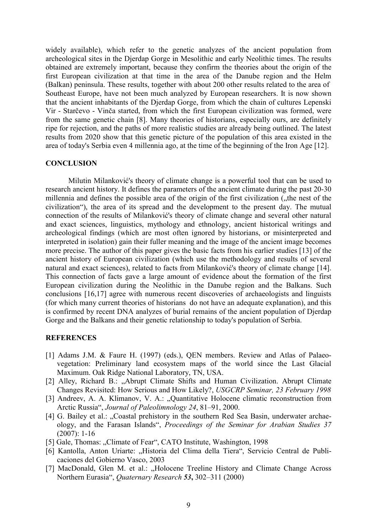widely available), which refer to the genetic analyzes of the ancient population from archeological sites in the Djerdap Gorge in Mesolithic and early Neolithic times. The results obtained are extremely important, because they confirm the theories about the origin of the first European civilization at that time in the area of the Danube region and the Helm (Balkan) peninsula. These results, together with about 200 other results related to the area of Southeast Europe, have not been much analyzed by European researchers. It is now shown that the ancient inhabitants of the Djerdap Gorge, from which the chain of cultures Lepenski Vir - Starčevo - Vinča started, from which the first European civilization was formed, were from the same genetic chain [8]. Many theories of historians, especially ours, are definitely ripe for rejection, and the paths of more realistic studies are already being outlined. The latest results from 2020 show that this genetic picture of the population of this area existed in the area of today's Serbia even 4 millennia ago, at the time of the beginning of the Iron Age [12].

#### **CONCLUSION**

Milutin Milanković's theory of climate change is a powerful tool that can be used to research ancient history. It defines the parameters of the ancient climate during the past 20-30 millennia and defines the possible area of the origin of the first civilization ("the nest of the civilization"), the area of its spread and the development to the present day. The mutual connection of the results of Milanković's theory of climate change and several other natural and exact sciences, linguistics, mythology and ethnology, ancient historical writings and archeological findings (which are most often ignored by historians, or misinterpreted and interpreted in isolation) gain their fuller meaning and the image of the ancient image becomes more precise. The author of this paper gives the basic facts from his earlier studies [13] of the ancient history of European civilization (which use the methodology and results of several natural and exact sciences), related to facts from Milanković's theory of climate change [14]. This connection of facts gave a large amount of evidence about the formation of the first European civilization during the Neolithic in the Danube region and the Balkans. Such conclusions [16,17] agree with numerous recent discoveries of archaeologists and linguists (for which many current theories of historians do not have an adequate explanation), and this is confirmed by recent DNA analyzes of burial remains of the ancient population of Djerdap Gorge and the Balkans and their genetic relationship to today's population of Serbia.

### **REFERENCES**

- [1] Adams J.M. & Faure H. (1997) (eds.), QEN members. Review and Atlas of Palaeovegetation: Preliminary land ecosystem maps of the world since the Last Glacial Maximum. Oak Ridge National Laboratory, TN, USA.
- [2] Alley, Richard B.: "Abrupt Climate Shifts and Human Civilization. Abrupt Climate Changes Revisited: How Serious and How Likely?, USGCRP Seminar, 23 February 1998
- [3] Andreev, A. A. Klimanov, V. A.: "Quantitative Holocene climatic reconstruction from Arctic Russia", Journal of Paleolimnology 24, 81–91, 2000.
- [4] G. Bailey et al.: "Coastal prehistory in the southern Red Sea Basin, underwater archaeology, and the Farasan Islands", Proceedings of the Seminar for Arabian Studies 37 (2007): 1-16
- [5] Gale, Thomas: "Climate of Fear", CATO Institute, Washington, 1998
- [6] Kantolla, Anton Uriarte: "Historia del Clima della Tiera", Servicio Central de Publicaciones del Gobierno Vasco, 2003
- [7] MacDonald, Glen M. et al.: "Holocene Treeline History and Climate Change Across Northern Eurasia", Quaternary Research 53, 302–311 (2000)